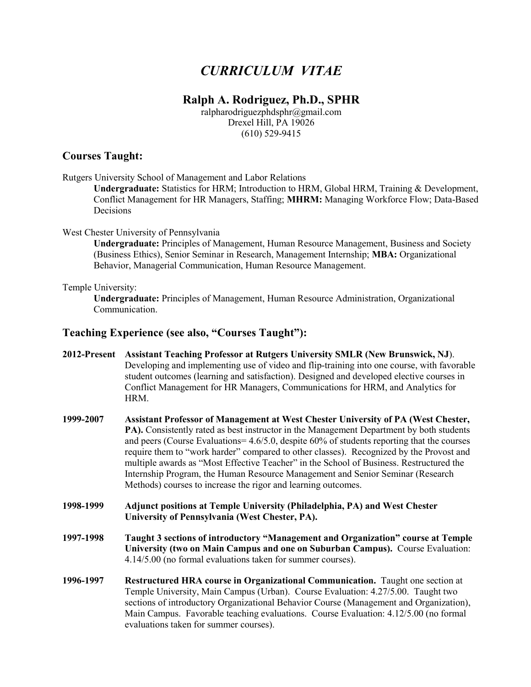# *CURRICULUM VITAE*

## **Ralph A. Rodriguez, Ph.D., SPHR**

ralpharodriguezphdsphr@gmail.com Drexel Hill, PA 19026 (610) 529-9415

#### **Courses Taught:**

Rutgers University School of Management and Labor Relations

**Undergraduate:** Statistics for HRM; Introduction to HRM, Global HRM, Training & Development, Conflict Management for HR Managers, Staffing; **MHRM:** Managing Workforce Flow; Data-Based Decisions

#### West Chester University of Pennsylvania

**Undergraduate:** Principles of Management, Human Resource Management, Business and Society (Business Ethics), Senior Seminar in Research, Management Internship; **MBA:** Organizational Behavior, Managerial Communication, Human Resource Management.

#### Temple University:

**Undergraduate:** Principles of Management, Human Resource Administration, Organizational Communication.

#### **Teaching Experience (see also, "Courses Taught"):**

- **2012-Present Assistant Teaching Professor at Rutgers University SMLR (New Brunswick, NJ**). Developing and implementing use of video and flip-training into one course, with favorable student outcomes (learning and satisfaction). Designed and developed elective courses in Conflict Management for HR Managers, Communications for HRM, and Analytics for HRM.
- **1999-2007 Assistant Professor of Management at West Chester University of PA (West Chester, PA).** Consistently rated as best instructor in the Management Department by both students and peers (Course Evaluations= 4.6/5.0, despite 60% of students reporting that the courses require them to "work harder" compared to other classes). Recognized by the Provost and multiple awards as "Most Effective Teacher" in the School of Business. Restructured the Internship Program, the Human Resource Management and Senior Seminar (Research Methods) courses to increase the rigor and learning outcomes.
- **1998-1999 Adjunct positions at Temple University (Philadelphia, PA) and West Chester University of Pennsylvania (West Chester, PA).**
- **1997-1998 Taught 3 sections of introductory "Management and Organization" course at Temple University (two on Main Campus and one on Suburban Campus).** Course Evaluation: 4.14/5.00 (no formal evaluations taken for summer courses).
- **1996-1997 Restructured HRA course in Organizational Communication.** Taught one section at Temple University, Main Campus (Urban). Course Evaluation: 4.27/5.00. Taught two sections of introductory Organizational Behavior Course (Management and Organization), Main Campus. Favorable teaching evaluations. Course Evaluation: 4.12/5.00 (no formal evaluations taken for summer courses).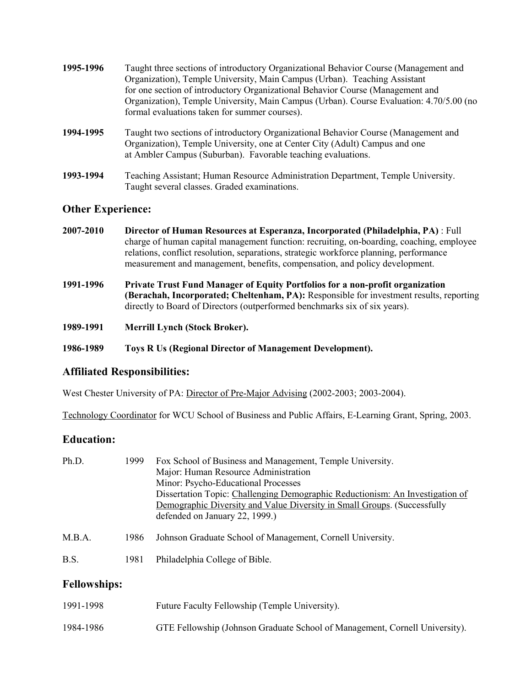| 1995-1996 | Taught three sections of introductory Organizational Behavior Course (Management and<br>Organization), Temple University, Main Campus (Urban). Teaching Assistant<br>for one section of introductory Organizational Behavior Course (Management and<br>Organization), Temple University, Main Campus (Urban). Course Evaluation: 4.70/5.00 (no<br>formal evaluations taken for summer courses). |
|-----------|-------------------------------------------------------------------------------------------------------------------------------------------------------------------------------------------------------------------------------------------------------------------------------------------------------------------------------------------------------------------------------------------------|
| 1994-1995 | Taught two sections of introductory Organizational Behavior Course (Management and<br>Organization), Temple University, one at Center City (Adult) Campus and one<br>at Ambler Campus (Suburban). Favorable teaching evaluations.                                                                                                                                                               |

**1993-1994** Teaching Assistant; Human Resource Administration Department, Temple University. Taught several classes. Graded examinations.

#### **Other Experience:**

- **2007-2010 Director of Human Resources at Esperanza, Incorporated (Philadelphia, PA)** : Full charge of human capital management function: recruiting, on-boarding, coaching, employee relations, conflict resolution, separations, strategic workforce planning, performance measurement and management, benefits, compensation, and policy development.
- **1991-1996 Private Trust Fund Manager of Equity Portfolios for a non-profit organization (Berachah, Incorporated; Cheltenham, PA):** Responsible for investment results, reporting directly to Board of Directors (outperformed benchmarks six of six years).
- **1989-1991 Merrill Lynch (Stock Broker).**

**1986-1989 Toys R Us (Regional Director of Management Development).**

#### **Affiliated Responsibilities:**

West Chester University of PA: Director of Pre-Major Advising (2002-2003; 2003-2004).

Technology Coordinator for WCU School of Business and Public Affairs, E-Learning Grant, Spring, 2003.

#### **Education:**

| Ph.D.               | 1999 | Fox School of Business and Management, Temple University.<br>Major: Human Resource Administration<br>Minor: Psycho-Educational Processes<br>Dissertation Topic: Challenging Demographic Reductionism: An Investigation of<br>Demographic Diversity and Value Diversity in Small Groups. (Successfully<br>defended on January 22, 1999.) |  |
|---------------------|------|-----------------------------------------------------------------------------------------------------------------------------------------------------------------------------------------------------------------------------------------------------------------------------------------------------------------------------------------|--|
| M.B.A.              | 1986 | Johnson Graduate School of Management, Cornell University.                                                                                                                                                                                                                                                                              |  |
| B.S.                | 1981 | Philadelphia College of Bible.                                                                                                                                                                                                                                                                                                          |  |
| <b>Fellowships:</b> |      |                                                                                                                                                                                                                                                                                                                                         |  |
| 1991-1998           |      | Future Faculty Fellowship (Temple University).                                                                                                                                                                                                                                                                                          |  |

| 1984-1986 | GTE Fellowship (Johnson Graduate School of Management, Cornell University). |  |
|-----------|-----------------------------------------------------------------------------|--|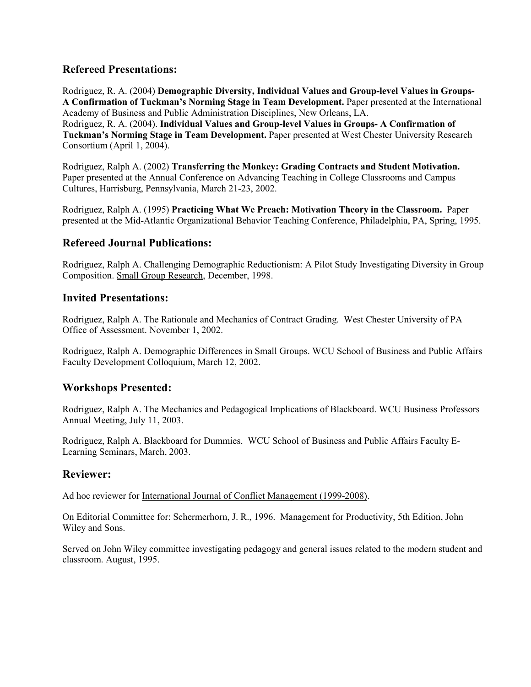#### **Refereed Presentations:**

Rodriguez, R. A. (2004) **Demographic Diversity, Individual Values and Group-level Values in Groups-A Confirmation of Tuckman's Norming Stage in Team Development.** Paper presented at the International Academy of Business and Public Administration Disciplines, New Orleans, LA. Rodriguez, R. A. (2004). **Individual Values and Group-level Values in Groups- A Confirmation of Tuckman's Norming Stage in Team Development.** Paper presented at West Chester University Research Consortium (April 1, 2004).

Rodriguez, Ralph A. (2002) **Transferring the Monkey: Grading Contracts and Student Motivation.** Paper presented at the Annual Conference on Advancing Teaching in College Classrooms and Campus Cultures, Harrisburg, Pennsylvania, March 21-23, 2002.

Rodriguez, Ralph A. (1995) **Practicing What We Preach: Motivation Theory in the Classroom.** Paper presented at the Mid-Atlantic Organizational Behavior Teaching Conference, Philadelphia, PA, Spring, 1995.

#### **Refereed Journal Publications:**

Rodriguez, Ralph A. Challenging Demographic Reductionism: A Pilot Study Investigating Diversity in Group Composition. Small Group Research, December, 1998.

#### **Invited Presentations:**

Rodriguez, Ralph A. The Rationale and Mechanics of Contract Grading. West Chester University of PA Office of Assessment. November 1, 2002.

Rodriguez, Ralph A. Demographic Differences in Small Groups. WCU School of Business and Public Affairs Faculty Development Colloquium, March 12, 2002.

#### **Workshops Presented:**

Rodriguez, Ralph A. The Mechanics and Pedagogical Implications of Blackboard. WCU Business Professors Annual Meeting, July 11, 2003.

Rodriguez, Ralph A. Blackboard for Dummies. WCU School of Business and Public Affairs Faculty E-Learning Seminars, March, 2003.

#### **Reviewer:**

Ad hoc reviewer for International Journal of Conflict Management (1999-2008).

On Editorial Committee for: Schermerhorn, J. R., 1996. Management for Productivity, 5th Edition, John Wiley and Sons.

Served on John Wiley committee investigating pedagogy and general issues related to the modern student and classroom. August, 1995.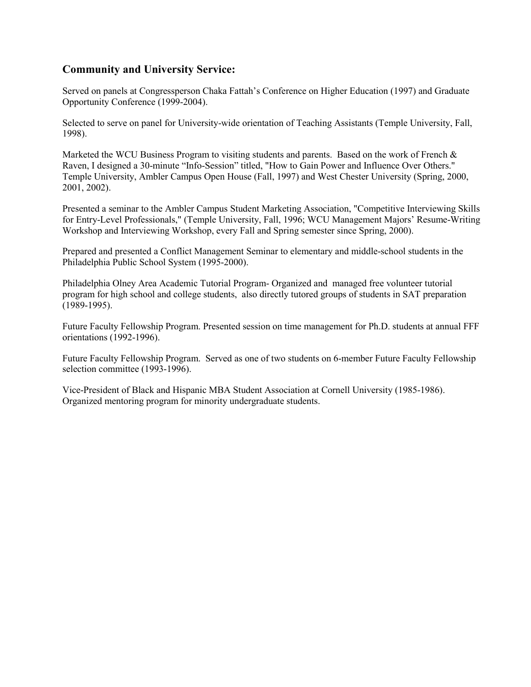## **Community and University Service:**

Served on panels at Congressperson Chaka Fattah's Conference on Higher Education (1997) and Graduate Opportunity Conference (1999-2004).

Selected to serve on panel for University-wide orientation of Teaching Assistants (Temple University, Fall, 1998).

Marketed the WCU Business Program to visiting students and parents. Based on the work of French  $\&$ Raven, I designed a 30-minute "Info-Session" titled, "How to Gain Power and Influence Over Others." Temple University, Ambler Campus Open House (Fall, 1997) and West Chester University (Spring, 2000, 2001, 2002).

Presented a seminar to the Ambler Campus Student Marketing Association, "Competitive Interviewing Skills for Entry-Level Professionals," (Temple University, Fall, 1996; WCU Management Majors' Resume-Writing Workshop and Interviewing Workshop, every Fall and Spring semester since Spring, 2000).

Prepared and presented a Conflict Management Seminar to elementary and middle-school students in the Philadelphia Public School System (1995-2000).

Philadelphia Olney Area Academic Tutorial Program- Organized and managed free volunteer tutorial program for high school and college students, also directly tutored groups of students in SAT preparation (1989-1995).

Future Faculty Fellowship Program. Presented session on time management for Ph.D. students at annual FFF orientations (1992-1996).

Future Faculty Fellowship Program. Served as one of two students on 6-member Future Faculty Fellowship selection committee (1993-1996).

Vice-President of Black and Hispanic MBA Student Association at Cornell University (1985-1986). Organized mentoring program for minority undergraduate students.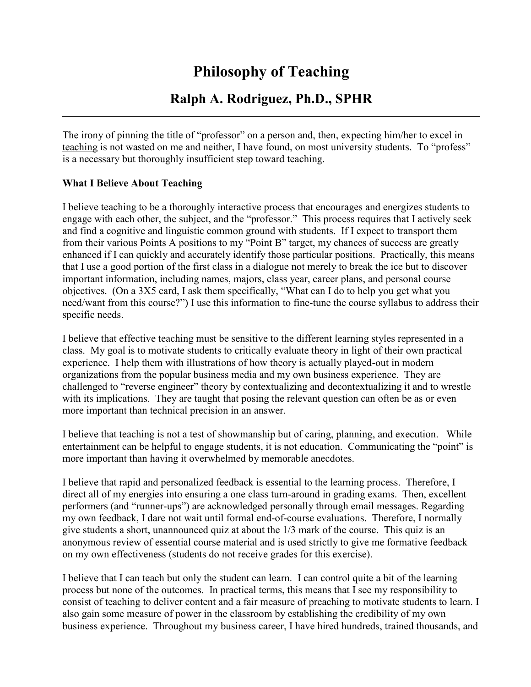# **Philosophy of Teaching**

## **Ralph A. Rodriguez, Ph.D., SPHR**

The irony of pinning the title of "professor" on a person and, then, expecting him/her to excel in teaching is not wasted on me and neither, I have found, on most university students. To "profess" is a necessary but thoroughly insufficient step toward teaching.

#### **What I Believe About Teaching**

I believe teaching to be a thoroughly interactive process that encourages and energizes students to engage with each other, the subject, and the "professor." This process requires that I actively seek and find a cognitive and linguistic common ground with students. If I expect to transport them from their various Points A positions to my "Point B" target, my chances of success are greatly enhanced if I can quickly and accurately identify those particular positions. Practically, this means that I use a good portion of the first class in a dialogue not merely to break the ice but to discover important information, including names, majors, class year, career plans, and personal course objectives. (On a 3X5 card, I ask them specifically, "What can I do to help you get what you need/want from this course?") I use this information to fine-tune the course syllabus to address their specific needs.

I believe that effective teaching must be sensitive to the different learning styles represented in a class. My goal is to motivate students to critically evaluate theory in light of their own practical experience. I help them with illustrations of how theory is actually played-out in modern organizations from the popular business media and my own business experience. They are challenged to "reverse engineer" theory by contextualizing and decontextualizing it and to wrestle with its implications. They are taught that posing the relevant question can often be as or even more important than technical precision in an answer.

I believe that teaching is not a test of showmanship but of caring, planning, and execution. While entertainment can be helpful to engage students, it is not education. Communicating the "point" is more important than having it overwhelmed by memorable anecdotes.

I believe that rapid and personalized feedback is essential to the learning process. Therefore, I direct all of my energies into ensuring a one class turn-around in grading exams. Then, excellent performers (and "runner-ups") are acknowledged personally through email messages. Regarding my own feedback, I dare not wait until formal end-of-course evaluations. Therefore, I normally give students a short, unannounced quiz at about the 1/3 mark of the course. This quiz is an anonymous review of essential course material and is used strictly to give me formative feedback on my own effectiveness (students do not receive grades for this exercise).

I believe that I can teach but only the student can learn. I can control quite a bit of the learning process but none of the outcomes. In practical terms, this means that I see my responsibility to consist of teaching to deliver content and a fair measure of preaching to motivate students to learn. I also gain some measure of power in the classroom by establishing the credibility of my own business experience. Throughout my business career, I have hired hundreds, trained thousands, and